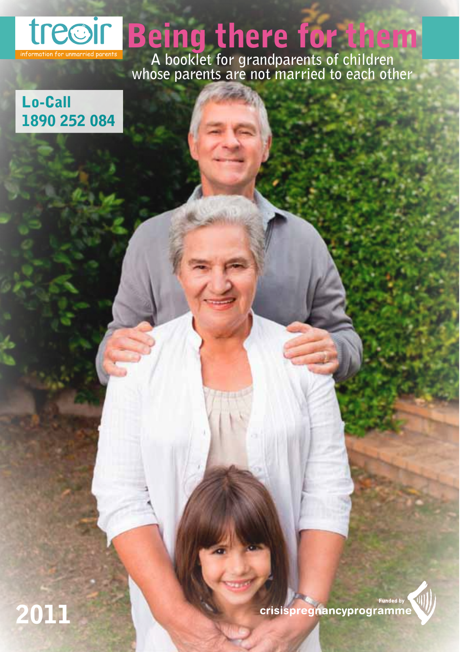

# Being there for them

**A booklet for grandparents of children whose parents are not married to each other**

## Lo-Call 1890 252 084

2011

unded by crisispregnancyprogramme

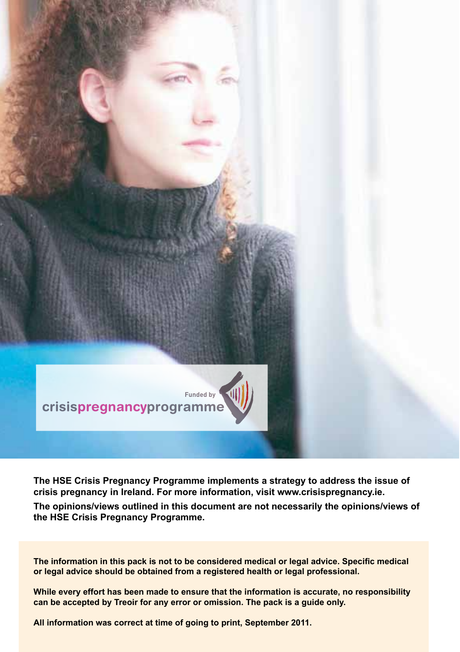

The HSE Crisis Pregnancy Programme implements a strategy to address the issue of crisis pregnancy in Ireland. For more information, visit www.crisispregnancy.ie.

The opinions/views outlined in this document are not necessarily the opinions/views of the HSE Crisis Pregnancy Programme.

The information in this pack is not to be considered medical or legal advice. Specific medical or legal advice should be obtained from a registered health or legal professional.

While every effort has been made to ensure that the information is accurate, no responsibility can be accepted by Treoir for any error or omission. The pack is a guide only.

All information was correct at time of going to print, September 2011.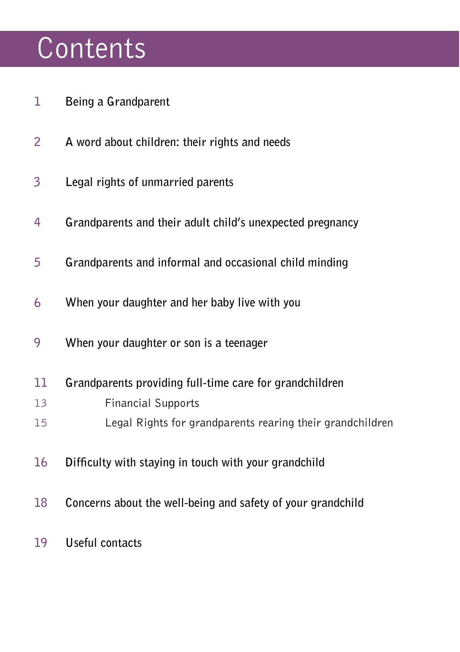# Contents

- **1 Being a Grandparent**
- **2 A word about children: their rights and needs**
- **3 Legal rights of unmarried parents**
- **4 Grandparents and their adult child's unexpected pregnancy**
- **5 Grandparents and informal and occasional child minding**
- **6 When your daughter and her baby live with you**
- **9 When your daughter or son is a teenager**
- **11 Grandparents providing full-time care for grandchildren**
- 13 Financial Supports
- 15 Legal Rights for grandparents rearing their grandchildren
- **16 Difficulty with staying in touch with your grandchild**
- **18 Concerns about the well-being and safety of your grandchild**
- **19 Useful contacts**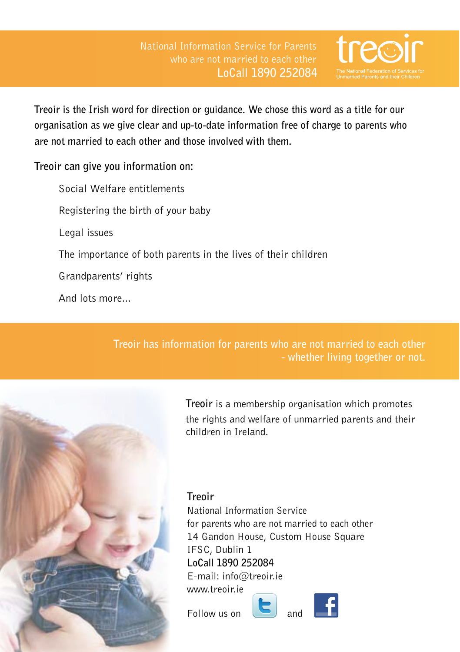

**Treoir is the Irish word for direction or guidance. We chose this word as a title for our organisation as we give clear and up-to-date information free of charge to parents who are not married to each other and those involved with them.**

#### **Treoir can give you information on:**

 Social Welfare entitlements Registering the birth of your baby Legal issues The importance of both parents in the lives of their children Grandparents' rights And lots more...

> **Treoir has information for parents who are not married to each other - whether living together or not.**



**Treoir** is a membership organisation which promotes the rights and welfare of unmarried parents and their children in Ireland.

### **Treoir**

National Information Service for parents who are not married to each other 14 Gandon House, Custom House Square IFSC, Dublin 1 **LoCall 1890 252084**  $F$ -mail: info@treoir.ie www.treoir.ie

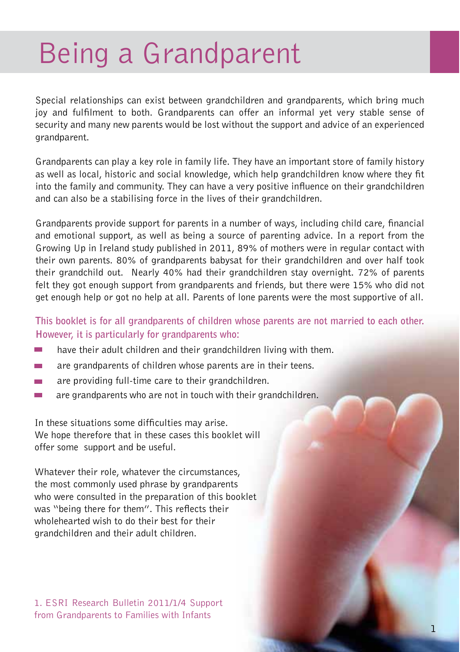# Being a Grandparent

Special relationships can exist between grandchildren and grandparents, which bring much joy and fulfilment to both. Grandparents can offer an informal yet very stable sense of security and many new parents would be lost without the support and advice of an experienced grandparent.

Grandparents can play a key role in family life. They have an important store of family history as well as local, historic and social knowledge, which help grandchildren know where they fit into the family and community. They can have a very positive influence on their grandchildren and can also be a stabilising force in the lives of their grandchildren.

Grandparents provide support for parents in a number of ways, including child care, financial and emotional support, as well as being a source of parenting advice. In a report from the Growing Up in Ireland study published in 2011, 89% of mothers were in regular contact with their own parents. 80% of grandparents babysat for their grandchildren and over half took their grandchild out. Nearly 40% had their grandchildren stay overnight. 72% of parents felt they got enough support from grandparents and friends, but there were 15% who did not get enough help or got no help at all. Parents of lone parents were the most supportive of all.

**This booklet is for all grandparents of children whose parents are not married to each other. However, it is particularly for grandparents who:**

- have their adult children and their grandchildren living with them.
- are grandparents of children whose parents are in their teens.
- are providing full-time care to their grandchildren. m.
- are grandparents who are not in touch with their grandchildren.  $\overline{\phantom{a}}$

In these situations some difficulties may arise. We hope therefore that in these cases this booklet will offer some support and be useful.

Whatever their role, whatever the circumstances, the most commonly used phrase by grandparents who were consulted in the preparation of this booklet was "being there for them". This reflects their wholehearted wish to do their best for their grandchildren and their adult children.

1. ESRI Research Bulletin 2011/1/4 Support from Grandparents to Families with Infants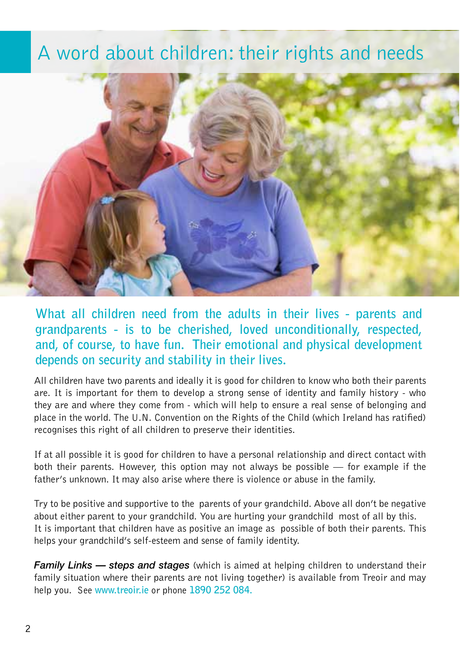## A word about children: their rights and needs



**What all children need from the adults in their lives - parents and grandparents - is to be cherished, loved unconditionally, respected, and, of course, to have fun. Their emotional and physical development depends on security and stability in their lives.** 

All children have two parents and ideally it is good for children to know who both their parents are. It is important for them to develop a strong sense of identity and family history - who they are and where they come from - which will help to ensure a real sense of belonging and place in the world. The U.N. Convention on the Rights of the Child (which Ireland has ratified) recognises this right of all children to preserve their identities.

If at all possible it is good for children to have a personal relationship and direct contact with both their parents. However, this option may not always be possible — for example if the father's unknown. It may also arise where there is violence or abuse in the family.

Try to be positive and supportive to the parents of your grandchild. Above all don't be negative about either parent to your grandchild. You are hurting your grandchild most of all by this. It is important that children have as positive an image as possible of both their parents. This helps your grandchild's self-esteem and sense of family identity.

*Family Links — steps and stages* (which is aimed at helping children to understand their family situation where their parents are not living together) is available from Treoir and may help you. See **www.treoir.ie** or phone **1890 252 084.**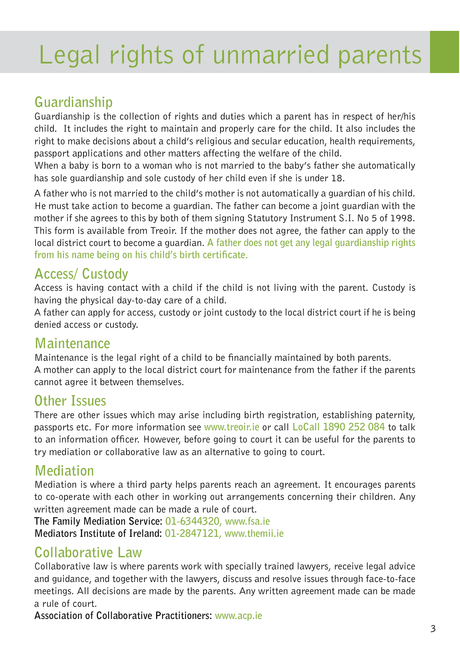# Legal rights of unmarried parents

## **Guardianship**

Guardianship is the collection of rights and duties which a parent has in respect of her/his child. It includes the right to maintain and properly care for the child. It also includes the right to make decisions about a child's religious and secular education, health requirements, passport applications and other matters affecting the welfare of the child.

When a baby is born to a woman who is not married to the baby's father she automatically has sole guardianship and sole custody of her child even if she is under 18.

A father who is not married to the child's mother is not automatically a guardian of his child. He must take action to become a guardian. The father can become a joint guardian with the mother if she agrees to this by both of them signing Statutory Instrument S.I. No 5 of 1998. This form is available from Treoir. If the mother does not agree, the father can apply to the local district court to become a guardian. **A father does not get any legal guardianship rights from his name being on his child's birth certificate.**

## **Access/ Custody**

Access is having contact with a child if the child is not living with the parent. Custody is having the physical day-to-day care of a child.

A father can apply for access, custody or joint custody to the local district court if he is being denied access or custody.

## **Maintenance**

Maintenance is the legal right of a child to be financially maintained by both parents. A mother can apply to the local district court for maintenance from the father if the parents cannot agree it between themselves.

## **Other Issues**

There are other issues which may arise including birth registration, establishing paternity, passports etc. For more information see **www.treoir.ie** or call **LoCall 1890 252 084** to talk to an information officer. However, before going to court it can be useful for the parents to try mediation or collaborative law as an alternative to going to court.

## **Mediation**

Mediation is where a third party helps parents reach an agreement. It encourages parents to co-operate with each other in working out arrangements concerning their children. Any written agreement made can be made a rule of court.

**The Family Mediation Service: 01-6344320, www.fsa.ie Mediators Institute of Ireland: 01-2847121, www.themii.ie**

## **Collaborative Law**

Collaborative law is where parents work with specially trained lawyers, receive legal advice and guidance, and together with the lawyers, discuss and resolve issues through face-to-face meetings. All decisions are made by the parents. Any written agreement made can be made a rule of court.

**Association of Collaborative Practitioners: www.acp.ie**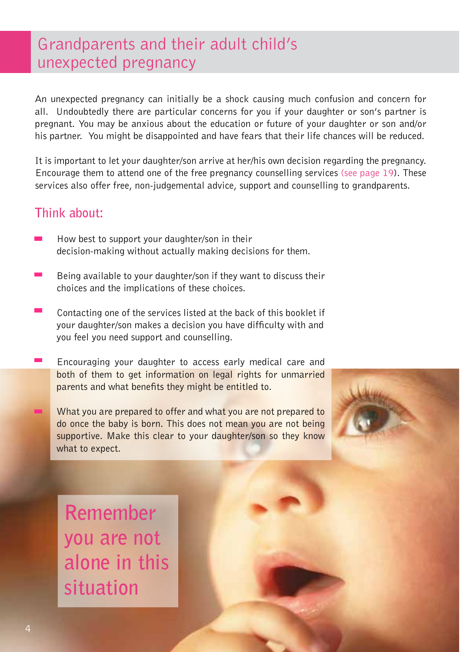## Grandparents and their adult child's unexpected pregnancy

An unexpected pregnancy can initially be a shock causing much confusion and concern for all. Undoubtedly there are particular concerns for you if your daughter or son's partner is pregnant. You may be anxious about the education or future of your daughter or son and/or his partner. You might be disappointed and have fears that their life chances will be reduced.

It is important to let your daughter/son arrive at her/his own decision regarding the pregnancy. Encourage them to attend one of the free pregnancy counselling services (see page 19). These services also offer free, non-judgemental advice, support and counselling to grandparents.

## **Think about:**

- How best to support your daughter/son in their decision-making without actually making decisions for them.
- Being available to your daughter/son if they want to discuss their choices and the implications of these choices.
- Contacting one of the services listed at the back of this booklet if your daughter/son makes a decision you have difficulty with and you feel you need support and counselling.
- Encouraging your daughter to access early medical care and both of them to get information on legal rights for unmarried parents and what benefits they might be entitled to.
	- What you are prepared to offer and what you are not prepared to do once the baby is born. This does not mean you are not being supportive. Make this clear to your daughter/son so they know what to expect.



**Remember you are not alone in this situation**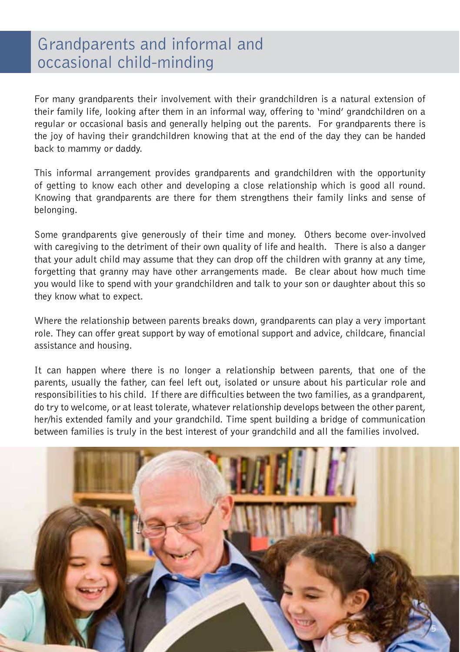## Grandparents and informal and occasional child-minding

For many grandparents their involvement with their grandchildren is a natural extension of their family life, looking after them in an informal way, offering to 'mind' grandchildren on a regular or occasional basis and generally helping out the parents. For grandparents there is the joy of having their grandchildren knowing that at the end of the day they can be handed back to mammy or daddy.

This informal arrangement provides grandparents and grandchildren with the opportunity of getting to know each other and developing a close relationship which is good all round. Knowing that grandparents are there for them strengthens their family links and sense of belonging.

Some grandparents give generously of their time and money. Others become over-involved with caregiving to the detriment of their own quality of life and health. There is also a danger that your adult child may assume that they can drop off the children with granny at any time, forgetting that granny may have other arrangements made. Be clear about how much time you would like to spend with your grandchildren and talk to your son or daughter about this so they know what to expect.

Where the relationship between parents breaks down, grandparents can play a very important role. They can offer great support by way of emotional support and advice, childcare, financial assistance and housing.

It can happen where there is no longer a relationship between parents, that one of the parents, usually the father, can feel left out, isolated or unsure about his particular role and responsibilities to his child. If there are difficulties between the two families, as a grandparent, do try to welcome, or at least tolerate, whatever relationship develops between the other parent, her/his extended family and your grandchild. Time spent building a bridge of communication between families is truly in the best interest of your grandchild and all the families involved.

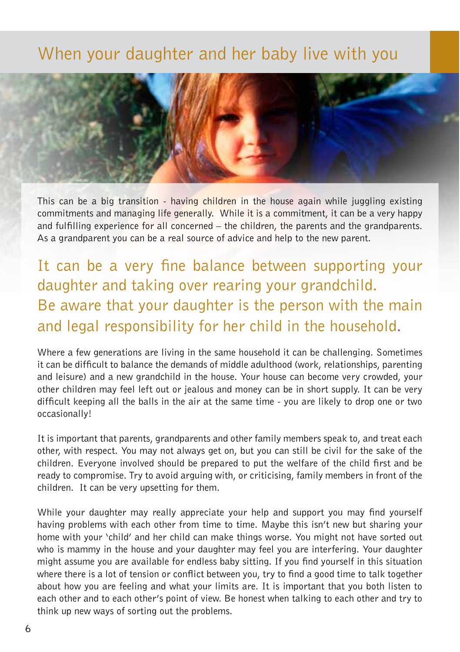## When your daughter and her baby live with you



This can be a big transition - having children in the house again while juggling existing commitments and managing life generally. While it is a commitment, it can be a very happy and fulfilling experience for all concerned – the children, the parents and the grandparents. As a grandparent you can be a real source of advice and help to the new parent.

It can be a very fine balance between supporting your daughter and taking over rearing your grandchild. Be aware that your daughter is the person with the main and legal responsibility for her child in the household.

Where a few generations are living in the same household it can be challenging. Sometimes it can be difficult to balance the demands of middle adulthood (work, relationships, parenting and leisure) and a new grandchild in the house. Your house can become very crowded, your other children may feel left out or jealous and money can be in short supply. It can be very difficult keeping all the balls in the air at the same time - you are likely to drop one or two occasionally!

It is important that parents, grandparents and other family members speak to, and treat each other, with respect. You may not always get on, but you can still be civil for the sake of the children. Everyone involved should be prepared to put the welfare of the child first and be ready to compromise. Try to avoid arguing with, or criticising, family members in front of the children. It can be very upsetting for them.

While your daughter may really appreciate your help and support you may find yourself having problems with each other from time to time. Maybe this isn't new but sharing your home with your 'child' and her child can make things worse. You might not have sorted out who is mammy in the house and your daughter may feel you are interfering. Your daughter might assume you are available for endless baby sitting. If you find yourself in this situation where there is a lot of tension or conflict between you, try to find a good time to talk together about how you are feeling and what your limits are. It is important that you both listen to each other and to each other's point of view. Be honest when talking to each other and try to think up new ways of sorting out the problems.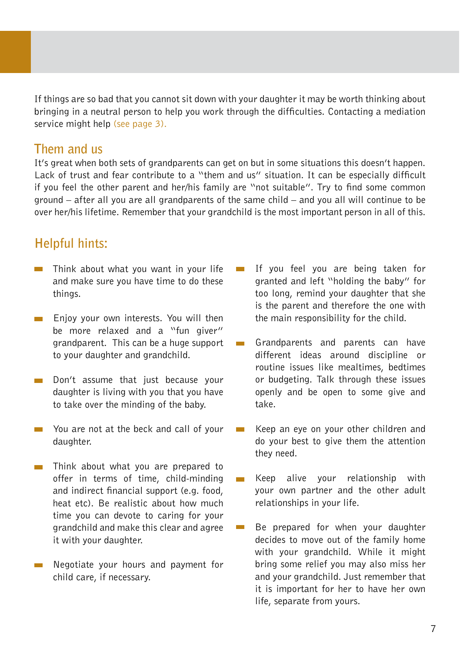If things are so bad that you cannot sit down with your daughter it may be worth thinking about bringing in a neutral person to help you work through the difficulties. Contacting a mediation service might help (see page 3).

### **Them and us**

It's great when both sets of grandparents can get on but in some situations this doesn't happen. Lack of trust and fear contribute to a "them and us" situation. It can be especially difficult if you feel the other parent and her/his family are "not suitable". Try to find some common ground – after all you are all grandparents of the same child – and you all will continue to be over her/his lifetime. Remember that your grandchild is the most important person in all of this.

## **Helpful hints:**

- $\blacksquare$  Think about what you want in your life and make sure you have time to do these things.
- Enjoy your own interests. You will then  $\overline{\phantom{0}}$ be more relaxed and a "fun giver" grandparent. This can be a huge support to your daughter and grandchild.
- Don't assume that just because your daughter is living with you that you have to take over the minding of the baby.
- You are not at the beck and call of your daughter.
- Think about what you are prepared to **COL** offer in terms of time, child-minding and indirect financial support (e.g. food, heat etc). Be realistic about how much time you can devote to caring for your grandchild and make this clear and agree it with your daughter.
- **Negotiate your hours and payment for** child care, if necessary.
- If you feel you are being taken for granted and left "holding the baby" for too long, remind your daughter that she is the parent and therefore the one with the main responsibility for the child.
- Grandparents and parents can have different ideas around discipline or routine issues like mealtimes, bedtimes or budgeting. Talk through these issues openly and be open to some give and take.
- Keep an eye on your other children and do your best to give them the attention they need.
- Keep alive your relationship with your own partner and the other adult relationships in your life.
- Be prepared for when your daughter  $\sim$ decides to move out of the family home with your grandchild. While it might bring some relief you may also miss her and your grandchild. Just remember that it is important for her to have her own life, separate from yours.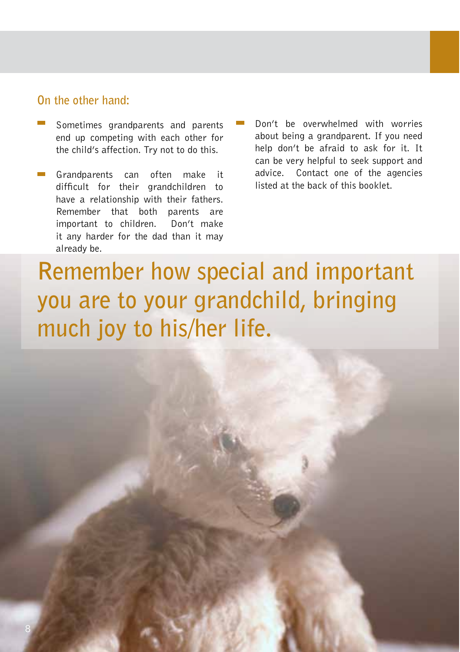### **On the other hand:**

- Sometimes grandparents and parents end up competing with each other for the child's affection. Try not to do this.
- Grandparents can often make it difficult for their grandchildren to have a relationship with their fathers. Remember that both parents are important to children. Don't make it any harder for the dad than it may already be.
- Don't be overwhelmed with worries about being a grandparent. If you need help don't be afraid to ask for it. It can be very helpful to seek support and advice. Contact one of the agencies listed at the back of this booklet.

**Remember how special and important you are to your grandchild, bringing much joy to his/her life.**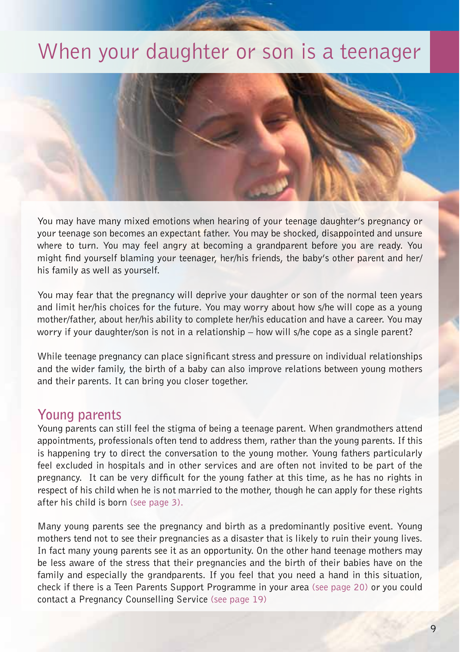## When your daughter or son is a teenager



You may have many mixed emotions when hearing of your teenage daughter's pregnancy or your teenage son becomes an expectant father. You may be shocked, disappointed and unsure where to turn. You may feel angry at becoming a grandparent before you are ready. You might find yourself blaming your teenager, her/his friends, the baby's other parent and her/ his family as well as yourself.

You may fear that the pregnancy will deprive your daughter or son of the normal teen years and limit her/his choices for the future. You may worry about how s/he will cope as a young mother/father, about her/his ability to complete her/his education and have a career. You may worry if your daughter/son is not in a relationship – how will s/he cope as a single parent?

While teenage pregnancy can place significant stress and pressure on individual relationships and the wider family, the birth of a baby can also improve relations between young mothers and their parents. It can bring you closer together.

## **Young parents**

Young parents can still feel the stigma of being a teenage parent. When grandmothers attend appointments, professionals often tend to address them, rather than the young parents. If this is happening try to direct the conversation to the young mother. Young fathers particularly feel excluded in hospitals and in other services and are often not invited to be part of the pregnancy. It can be very difficult for the young father at this time, as he has no rights in respect of his child when he is not married to the mother, though he can apply for these rights after his child is born (see page 3).

Many young parents see the pregnancy and birth as a predominantly positive event. Young mothers tend not to see their pregnancies as a disaster that is likely to ruin their young lives. In fact many young parents see it as an opportunity. On the other hand teenage mothers may be less aware of the stress that their pregnancies and the birth of their babies have on the family and especially the grandparents. If you feel that you need a hand in this situation, check if there is a Teen Parents Support Programme in your area (see page 20) or you could contact a Pregnancy Counselling Service (see page 19)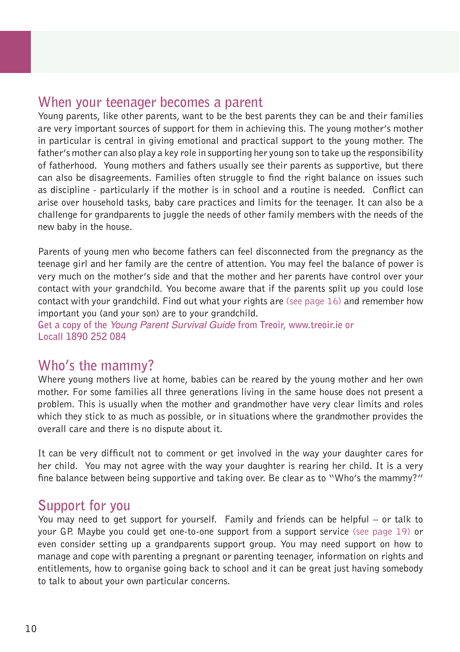## **When your teenager becomes a parent**

Young parents, like other parents, want to be the best parents they can be and their families are very important sources of support for them in achieving this. The young mother's mother in particular is central in giving emotional and practical support to the young mother. The father's mother can also play a key role in supporting her young son to take up the responsibility of fatherhood. Young mothers and fathers usually see their parents as supportive, but there can also be disagreements. Families often struggle to find the right balance on issues such as discipline - particularly if the mother is in school and a routine is needed. Conflict can arise over household tasks, baby care practices and limits for the teenager. It can also be a challenge for grandparents to juggle the needs of other family members with the needs of the new baby in the house.

Parents of young men who become fathers can feel disconnected from the pregnancy as the teenage girl and her family are the centre of attention. You may feel the balance of power is very much on the mother's side and that the mother and her parents have control over your contact with your grandchild. You become aware that if the parents split up you could lose contact with your grandchild. Find out what your rights are (see page  $16$ ) and remember how important you (and your son) are to your grandchild.

**Get a copy of the** Young Parent Survival Guide **from Treoir, www.treoir.ie or Locall 1890 252 084** 

## **Who's the mammy?**

Where young mothers live at home, babies can be reared by the young mother and her own mother. For some families all three generations living in the same house does not present a problem. This is usually when the mother and grandmother have very clear limits and roles which they stick to as much as possible, or in situations where the grandmother provides the overall care and there is no dispute about it.

It can be very difficult not to comment or get involved in the way your daughter cares for her child. You may not agree with the way your daughter is rearing her child. It is a very fine balance between being supportive and taking over. Be clear as to "Who's the mammy?"

## **Support for you**

You may need to get support for yourself. Family and friends can be helpful – or talk to your GP. Maybe you could get one-to-one support from a support service (see page 19) or even consider setting up a grandparents support group. You may need support on how to manage and cope with parenting a pregnant or parenting teenager, information on rights and entitlements, how to organise going back to school and it can be great just having somebody to talk to about your own particular concerns.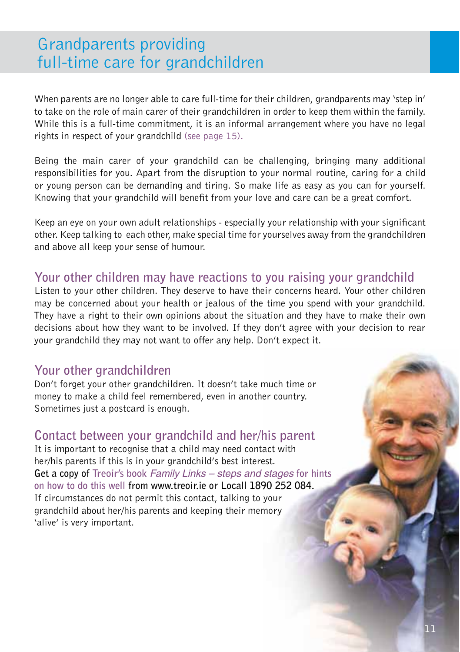## Grandparents providing full-time care for grandchildren

When parents are no longer able to care full-time for their children, grandparents may 'step in' to take on the role of main carer of their grandchildren in order to keep them within the family. While this is a full-time commitment, it is an informal arrangement where you have no legal rights in respect of your grandchild (see page 15).

Being the main carer of your grandchild can be challenging, bringing many additional responsibilities for you. Apart from the disruption to your normal routine, caring for a child or young person can be demanding and tiring. So make life as easy as you can for yourself. Knowing that your grandchild will benefit from your love and care can be a great comfort.

Keep an eye on your own adult relationships - especially your relationship with your significant other. Keep talking to each other, make special time for yourselves away from the grandchildren and above all keep your sense of humour.

## **Your other children may have reactions to you raising your grandchild**

Listen to your other children. They deserve to have their concerns heard. Your other children may be concerned about your health or jealous of the time you spend with your grandchild. They have a right to their own opinions about the situation and they have to make their own decisions about how they want to be involved. If they don't agree with your decision to rear your grandchild they may not want to offer any help. Don't expect it.

## **Your other grandchildren**

Don't forget your other grandchildren. It doesn't take much time or money to make a child feel remembered, even in another country. Sometimes just a postcard is enough.

## **Contact between your grandchild and her/his parent**

It is important to recognise that a child may need contact with her/his parents if this is in your grandchild's best interest. **Get a copy of Treoir's book** Family Links – steps and stages **for hints on how to do this well from www.treoir.ie or Locall 1890 252 084.**  If circumstances do not permit this contact, talking to your grandchild about her/his parents and keeping their memory 'alive' is very important.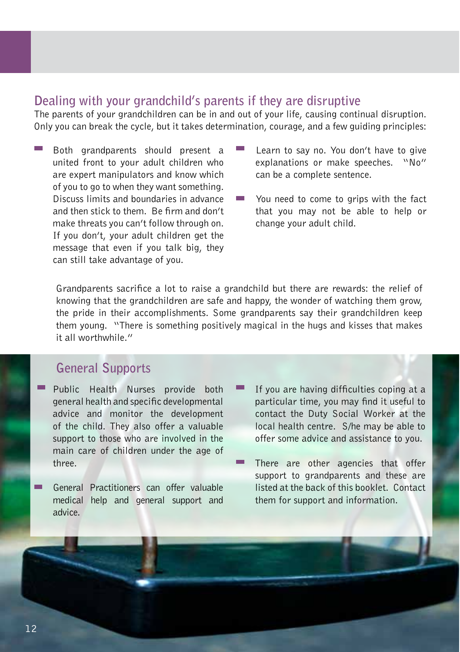#### **Dealing with your grandchild's parents if they are disruptive**

The parents of your grandchildren can be in and out of your life, causing continual disruption. Only you can break the cycle, but it takes determination, courage, and a few guiding principles:

- Both grandparents should present a united front to your adult children who are expert manipulators and know which of you to go to when they want something. Discuss limits and boundaries in advance and then stick to them. Be firm and don't make threats you can't follow through on. If you don't, your adult children get the message that even if you talk big, they can still take advantage of you.
- Learn to say no. You don't have to give explanations or make speeches. "No" can be a complete sentence.
- You need to come to grips with the fact that you may not be able to help or change your adult child.

Grandparents sacrifice a lot to raise a grandchild but there are rewards: the relief of knowing that the grandchildren are safe and happy, the wonder of watching them grow, the pride in their accomplishments. Some grandparents say their grandchildren keep them young. "There is something positively magical in the hugs and kisses that makes it all worthwhile."

## **General Supports**

- Public Health Nurses provide both general health and specific developmental advice and monitor the development of the child. They also offer a valuable support to those who are involved in the main care of children under the age of three.
- General Practitioners can offer valuable medical help and general support and advice.
- If you are having difficulties coping at a particular time, you may find it useful to contact the Duty Social Worker at the local health centre. S/he may be able to offer some advice and assistance to you.
- There are other agencies that offer support to grandparents and these are listed at the back of this booklet. Contact them for support and information.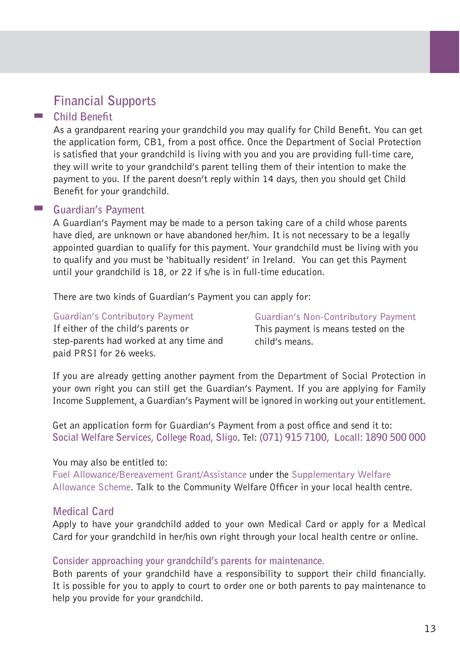## **Financial Supports**

#### **Child Benefit**

As a grandparent rearing your grandchild you may qualify for Child Benefit. You can get the application form, CB1, from a post office. Once the Department of Social Protection is satisfied that your grandchild is living with you and you are providing full-time care, they will write to your grandchild's parent telling them of their intention to make the payment to you. If the parent doesn't reply within 14 days, then you should get Child Benefit for your grandchild.

#### **Guardian's Payment**

A Guardian's Payment may be made to a person taking care of a child whose parents have died, are unknown or have abandoned her/him. It is not necessary to be a legally appointed guardian to qualify for this payment. Your grandchild must be living with you to qualify and you must be 'habitually resident' in Ireland. You can get this Payment until your grandchild is 18, or 22 if s/he is in full-time education.

There are two kinds of Guardian's Payment you can apply for:

#### Guardian's Contributory Payment

If either of the child's parents or step-parents had worked at any time and paid PRSI for 26 weeks.

Guardian's Non-Contributory Payment This payment is means tested on the child's means.

If you are already getting another payment from the Department of Social Protection in your own right you can still get the Guardian's Payment. If you are applying for Family Income Supplement, a Guardian's Payment will be ignored in working out your entitlement.

Get an application form for Guardian's Payment from a post office and send it to: **Social Welfare Services, College Road, Sligo**. Tel: **(071) 915 7100, Locall: 1890 500 000**

#### You may also be entitled to:

Fuel Allowance/Bereavement Grant/Assistance under the Supplementary Welfare Allowance Scheme. Talk to the Community Welfare Officer in your local health centre.

#### **Medical Card**

Apply to have your grandchild added to your own Medical Card or apply for a Medical Card for your grandchild in her/his own right through your local health centre or online.

#### **Consider approaching your grandchild's parents for maintenance.**

Both parents of your grandchild have a responsibility to support their child financially. It is possible for you to apply to court to order one or both parents to pay maintenance to help you provide for your grandchild.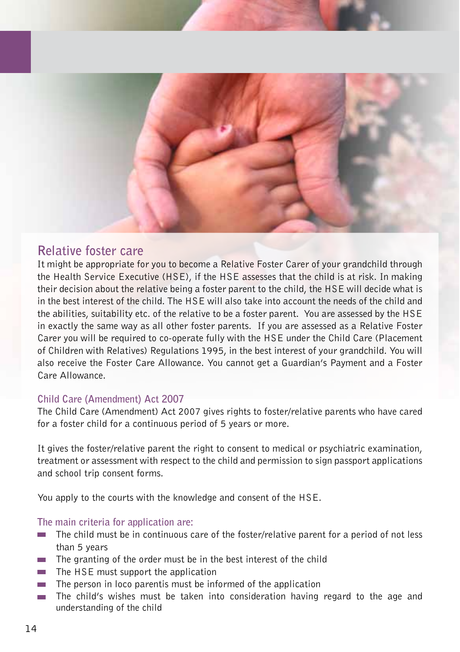

### **Relative foster care**

It might be appropriate for you to become a Relative Foster Carer of your grandchild through the Health Service Executive (HSE), if the HSE assesses that the child is at risk. In making their decision about the relative being a foster parent to the child, the HSE will decide what is in the best interest of the child. The HSE will also take into account the needs of the child and the abilities, suitability etc. of the relative to be a foster parent. You are assessed by the HSE in exactly the same way as all other foster parents. If you are assessed as a Relative Foster Carer you will be required to co-operate fully with the HSE under the Child Care (Placement of Children with Relatives) Regulations 1995, in the best interest of your grandchild. You will also receive the Foster Care Allowance. You cannot get a Guardian's Payment and a Foster Care Allowance.

#### **Child Care (Amendment) Act 2007**

The Child Care (Amendment) Act 2007 gives rights to foster/relative parents who have cared for a foster child for a continuous period of 5 years or more.

It gives the foster/relative parent the right to consent to medical or psychiatric examination, treatment or assessment with respect to the child and permission to sign passport applications and school trip consent forms.

You apply to the courts with the knowledge and consent of the HSE.

#### **The main criteria for application are:**

- The child must be in continuous care of the foster/relative parent for a period of not less than 5 years
- $\blacksquare$  The granting of the order must be in the best interest of the child
- $\blacksquare$  The HSE must support the application
- $\blacksquare$  The person in loco parentis must be informed of the application
- The child's wishes must be taken into consideration having regard to the age and understanding of the child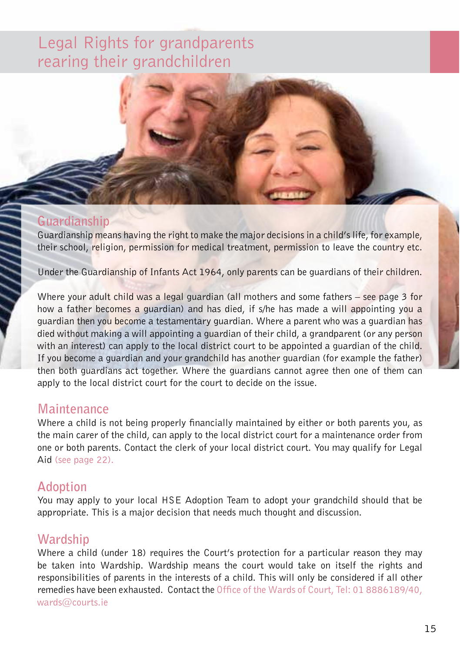## Legal Rights for grandparents rearing their grandchildren

### **Guardianship**

Guardianship means having the right to make the major decisions in a child's life, for example, their school, religion, permission for medical treatment, permission to leave the country etc.

Under the Guardianship of Infants Act 1964, only parents can be guardians of their children.

Where your adult child was a legal guardian (all mothers and some fathers – see page 3 for how a father becomes a guardian) and has died, if s/he has made a will appointing you a guardian then you become a testamentary guardian. Where a parent who was a guardian has died without making a will appointing a guardian of their child, a grandparent (or any person with an interest) can apply to the local district court to be appointed a guardian of the child. If you become a guardian and your grandchild has another guardian (for example the father) then both guardians act together. Where the guardians cannot agree then one of them can apply to the local district court for the court to decide on the issue.

### **Maintenance**

Where a child is not being properly financially maintained by either or both parents you, as the main carer of the child, can apply to the local district court for a maintenance order from one or both parents. Contact the clerk of your local district court. You may qualify for Legal Aid (see page 22).

## **Adoption**

You may apply to your local HSE Adoption Team to adopt your grandchild should that be appropriate. This is a major decision that needs much thought and discussion.

## **Wardship**

Where a child (under 18) requires the Court's protection for a particular reason they may be taken into Wardship. Wardship means the court would take on itself the rights and responsibilities of parents in the interests of a child. This will only be considered if all other remedies have been exhausted. Contact the Office of the Wards of Court, Tel: 01 8886189/40, wards@courts.ie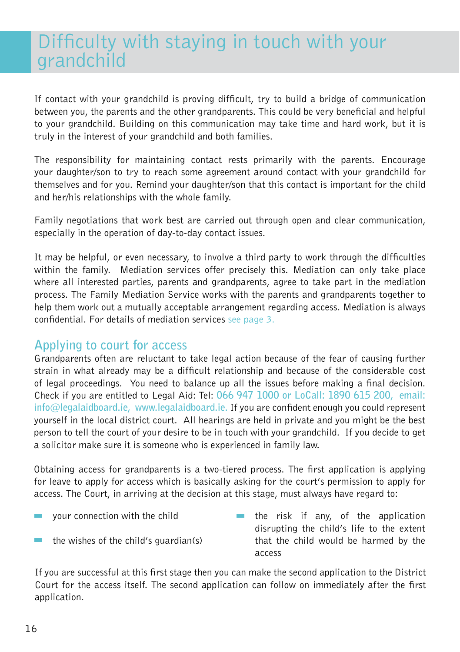## Difficulty with staying in touch with your grandchild

If contact with your grandchild is proving difficult, try to build a bridge of communication between you, the parents and the other grandparents. This could be very beneficial and helpful to your grandchild. Building on this communication may take time and hard work, but it is truly in the interest of your grandchild and both families.

The responsibility for maintaining contact rests primarily with the parents. Encourage your daughter/son to try to reach some agreement around contact with your grandchild for themselves and for you. Remind your daughter/son that this contact is important for the child and her/his relationships with the whole family.

Family negotiations that work best are carried out through open and clear communication, especially in the operation of day-to-day contact issues.

It may be helpful, or even necessary, to involve a third party to work through the difficulties within the family. Mediation services offer precisely this. Mediation can only take place where all interested parties, parents and grandparents, agree to take part in the mediation process. The Family Mediation Service works with the parents and grandparents together to help them work out a mutually acceptable arrangement regarding access. Mediation is always confidential. For details of mediation services see page 3.

## **Applying to court for access**

Grandparents often are reluctant to take legal action because of the fear of causing further strain in what already may be a difficult relationship and because of the considerable cost of legal proceedings. You need to balance up all the issues before making a final decision. Check if you are entitled to Legal Aid: Tel: **066 947 1000 or LoCall: 1890 615 200, email: info@legalaidboard.ie, www.legalaidboard.ie.** If you are confident enough you could represent yourself in the local district court. All hearings are held in private and you might be the best person to tell the court of your desire to be in touch with your grandchild. If you decide to get a solicitor make sure it is someone who is experienced in family law.

Obtaining access for grandparents is a two-tiered process. The first application is applying for leave to apply for access which is basically asking for the court's permission to apply for access. The Court, in arriving at the decision at this stage, must always have regard to:

- your connection with the child
- the wishes of the child's guardian(s)
- $\blacksquare$  the risk if any, of the application disrupting the child's life to the extent that the child would be harmed by the access

If you are successful at this first stage then you can make the second application to the District Court for the access itself. The second application can follow on immediately after the first application.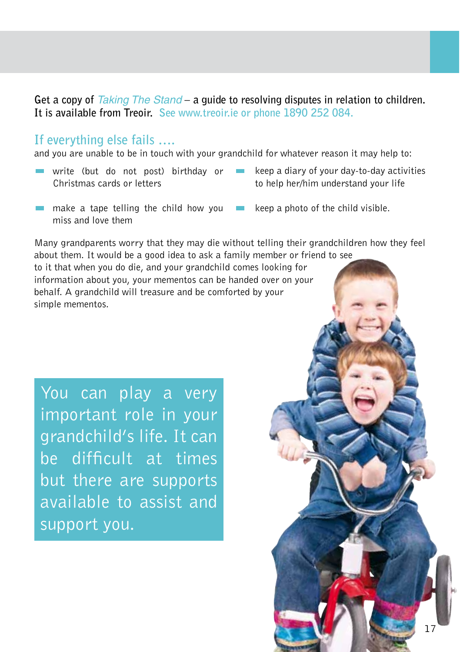Get a copy of *Taking The Stand* – a quide to resolving disputes in relation to children. **It is available from Treoir. See www.treoir.ie or phone 1890 252 084.**

### **If everything else fails ….**

and you are unable to be in touch with your grandchild for whatever reason it may help to:

- write (but do not post) birthday or Christmas cards or letters
- keep a diary of your day-to-day activities to help her/him understand your life
- **make a tape telling the child how you** miss and love them
- keep a photo of the child visible.

Many grandparents worry that they may die without telling their grandchildren how they feel about them. It would be a good idea to ask a family member or friend to see

to it that when you do die, and your grandchild comes looking for information about you, your mementos can be handed over on your behalf. A grandchild will treasure and be comforted by your simple mementos.

You can play a very important role in your grandchild's life. It can be difficult at times but there are supports available to assist and support you.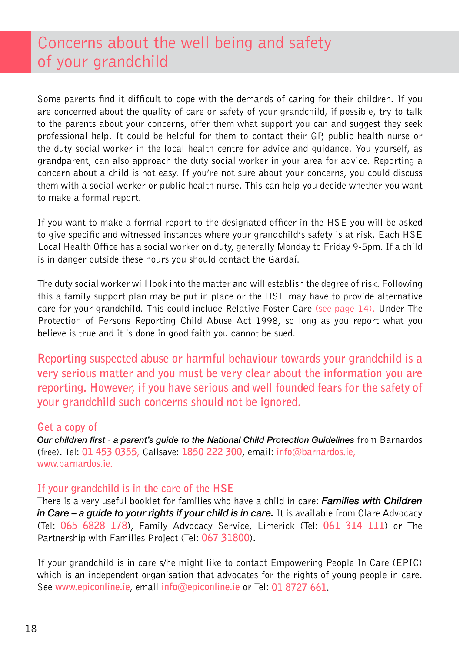## Concerns about the well being and safety of your grandchild

Some parents find it difficult to cope with the demands of caring for their children. If you are concerned about the quality of care or safety of your grandchild, if possible, try to talk to the parents about your concerns, offer them what support you can and suggest they seek professional help. It could be helpful for them to contact their GP, public health nurse or the duty social worker in the local health centre for advice and guidance. You yourself, as grandparent, can also approach the duty social worker in your area for advice. Reporting a concern about a child is not easy. If you're not sure about your concerns, you could discuss them with a social worker or public health nurse. This can help you decide whether you want to make a formal report.

If you want to make a formal report to the designated officer in the HSE you will be asked to give specific and witnessed instances where your grandchild's safety is at risk. Each HSE Local Health Office has a social worker on duty, generally Monday to Friday 9-5pm. If a child is in danger outside these hours you should contact the Gardaí.

The duty social worker will look into the matter and will establish the degree of risk. Following this a family support plan may be put in place or the HSE may have to provide alternative care for your grandchild. This could include Relative Foster Care (see page 14). Under The Protection of Persons Reporting Child Abuse Act 1998, so long as you report what you believe is true and it is done in good faith you cannot be sued.

**Reporting suspected abuse or harmful behaviour towards your grandchild is a very serious matter and you must be very clear about the information you are reporting. However, if you have serious and well founded fears for the safety of your grandchild such concerns should not be ignored.**

#### **Get a copy of**

*Our children first* - *a parent's guide to the National Child Protection Guidelines* from Barnardos (free). Tel: **01 453 0355,** Callsave: **1850 222 300**, email: **info@barnardos.ie, www.barnardos.ie.** 

#### **If your grandchild is in the care of the HSE**

There is a very useful booklet for families who have a child in care: *Families with Children in Care – a guide to your rights if your child is in care.* It is available from Clare Advocacy (Tel: **065 6828 178**), Family Advocacy Service, Limerick (Tel: **061 314 111**) or The Partnership with Families Project (Tel: **067 31800**).

If your grandchild is in care s/he might like to contact Empowering People In Care (EPIC) which is an independent organisation that advocates for the rights of young people in care. See **www.epiconline.ie**, email **info@epiconline.ie** or Tel: **01 8727 661**.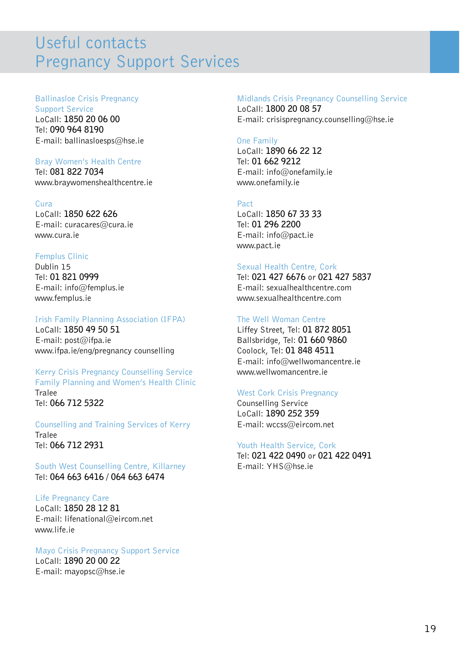## Useful contacts Pregnancy Support Services

#### Ballinasloe Crisis Pregnancy

Support Service LoCall: **1850 20 06 00** Tel: **090 964 8190** E-mail: ballinasloesps@hse.ie

#### Bray Women's Health Centre

Tel: **081 822 7034** www.braywomenshealthcentre.ie

#### Cura

LoCall: **1850 622 626** E-mail: curacares@cura.ie www.cura.ie

#### Femplus Clinic

Dublin 15 Tel: **01 821 0999** E-mail: info@femplus.ie www.femplus.ie

#### Irish Family Planning Association (IFPA)

LoCall: **1850 49 50 51** E-mail: post@ifpa.ie www.ifpa.ie/eng/pregnancy counselling

#### Kerry Crisis Pregnancy Counselling Service Family Planning and Women's Health Clinic Tralee Tel: **066 712 5322**

Counselling and Training Services of Kerry Tralee Tel: **066 712 2931**

South West Counselling Centre, Killarney Tel: **064 663 6416 / 064 663 6474**

#### Life Pregnancy Care

LoCall: **1850 28 12 81** E-mail: lifenational@eircom.net www.life.ie

#### Mayo Crisis Pregnancy Support Service LoCall: **1890 20 00 22** E-mail: mayopsc@hse.ie

#### Midlands Crisis Pregnancy Counselling Service

LoCall: **1800 20 08 57** E-mail: crisispregnancy.counselling@hse.ie

#### One Family

LoCall: **1890 66 22 12** Tel: **01 662 9212** E-mail: info@onefamily.ie www.onefamily.ie

#### Pact

LoCall: **1850 67 33 33** Tel: **01 296 2200** E-mail: info@pact.ie www.pact.ie

#### Sexual Health Centre, Cork

Tel: **021 427 6676** or **021 427 5837** E-mail: sexualhealthcentre.com www.sexualhealthcentre.com

#### The Well Woman Centre

Liffey Street, Tel: **01 872 8051** Ballsbridge, Tel: **01 660 9860** Coolock, Tel: **01 848 4511** E-mail: info@wellwomancentre.ie www.wellwomancentre.ie

#### West Cork Crisis Pregnancy

Counselling Service LoCall: **1890 252 359** E-mail: wccss@eircom.net

#### Youth Health Service, Cork

Tel: **021 422 0490** or **021 422 0491** E-mail: YHS@hse.ie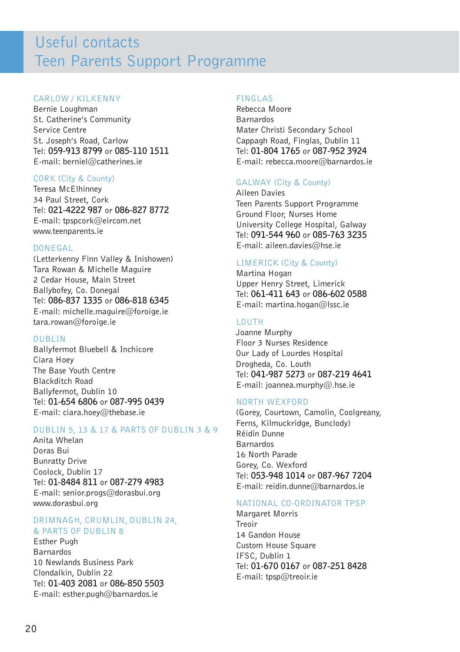## Useful contacts Teen Parents Support Programme

#### CARLOW / KILKENNY

Bernie Loughman St. Catherine's Community Service Centre St. Joseph's Road, Carlow Tel: **059-913 8799** or **085-110 1511** E-mail: herniel@catherines.ie

#### CORK (City & County)

Teresa McElhinney 34 Paul Street, Cork Tel: **021-4222 987** or **086-827 8772** E-mail: tpspcork@eircom.net www.teenparents.ie

#### DONEGAL

(Letterkenny Finn Valley & Inishowen) Tara Rowan & Michelle Maguire 2 Cedar House, Main Street Ballybofey, Co. Donegal Tel: **086-837 1335** or **086-818 6345** E-mail: michelle.maguire@foroige.ie tara.rowan@foroige.ie

#### DUBLIN

Ballyfermot Bluebell & Inchicore Ciara Hoey The Base Youth Centre Blackditch Road Ballyfermot, Dublin 10 Tel: **01-654 6806** or **087-995 0439** E-mail: ciara.hoey@thebase.ie

#### DUBLIN 5, 13 & 17 & PARTS OF DUBLIN 3 & 9

Anita Whelan Doras Bui Bunratty Drive Coolock, Dublin 17 Tel: **01-8484 811** or **087-279 4983** E-mail: senior.progs@dorasbui.org www.dorasbui.org

#### DRIMNAGH, CRUMLIN, DUBLIN 24, & PARTS OF DUBLIN 8

Esther Pugh Barnardos 10 Newlands Business Park Clondalkin, Dublin 22 Tel: **01-403 2081** or **086-850 5503** E-mail: esther.pugh@barnardos.ie

#### FINGLAS

Rebecca Moore Barnardos Mater Christi Secondary School Cappagh Road, Finglas, Dublin 11 Tel: **01-804 1765** or **087-952 3924** E-mail: rebecca.moore@barnardos.ie

#### GALWAY (City & County)

Aileen Davies Teen Parents Support Programme Ground Floor, Nurses Home University College Hospital, Galway Tel: **091-544 960** or **085-763 3235** E-mail: aileen.davies@hse.ie

#### LIMERICK (City & County)

Martina Hogan Upper Henry Street, Limerick Tel: **061-411 643** or **086-602 0588** E-mail: martina.hogan@lssc.ie

#### LOUTH

Joanne Murphy Floor 3 Nurses Residence Our Lady of Lourdes Hospital Drogheda, Co. Louth Tel: **041-987 5273** or **087-219 4641** E-mail: joannea.murphy@.hse.ie

#### NORTH WEXFORD

(Gorey, Courtown, Camolin, Coolgreany, Ferns, Kilmuckridge, Bunclody) Réidín Dunne Barnardos 16 North Parade Gorey, Co. Wexford Tel: **053-948 1014** or **087-967 7204** E-mail: reidin.dunne@barnardos.ie

#### NATIONAL CO-ORDINATOR TPSP

Margaret Morris Treoir 14 Gandon House Custom House Square IFSC, Dublin 1 Tel: **01-670 0167** or **087-251 8428** E-mail: tpsp@treoir.ie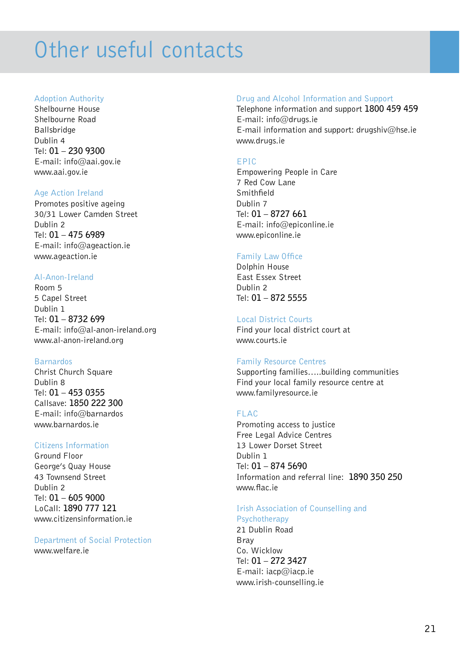## Other useful contacts

#### Adoption Authority

Shelbourne House Shelbourne Road Ballsbridge Dublin 4 Tel: **01 – 230 9300** E-mail: info@aai.gov.ie www.aai.gov.ie

#### Age Action Ireland

Promotes positive ageing 30/31 Lower Camden Street Dublin 2 Tel: **01 – 475 6989** E-mail: info@ageaction.ie www.ageaction.ie

#### Al-Anon-Ireland

Room 5 5 Capel Street Dublin 1 Tel: **01 – 8732 699** E-mail: info@al-anon-ireland.org www.al-anon-ireland.org

#### Barnardos

Christ Church Square Dublin 8 Tel: **01 – 453 0355** Callsave: **1850 222 300** E-mail: info@barnardos www.barnardos.ie

#### Citizens Information

Ground Floor George's Quay House 43 Townsend Street Dublin 2 Tel: **01 – 605 9000** LoCall: **1890 777 121** www.citizensinformation.ie

#### Department of Social Protection www.welfare.ie

#### Drug and Alcohol Information and Support

Telephone information and support **1800 459 459** E-mail: info@drugs.ie E-mail information and support: drugshiv@hse.ie www.drugs.ie

#### EPIC

Empowering People in Care 7 Red Cow Lane **Smithfield** Dublin 7 Tel: **01 – 8727 661** E-mail: info@epiconline.ie www.epiconline.ie

#### Family Law Office

Dolphin House East Essex Street Dublin 2 Tel: **01 – 872 5555**

#### Local District Courts

Find your local district court at www.courts.ie

#### Family Resource Centres

Supporting families…..building communities Find your local family resource centre at www.familyresource.ie

#### FLAC

Promoting access to justice Free Legal Advice Centres 13 Lower Dorset Street Dublin 1 Tel: **01 – 874 5690** Information and referral line: **1890 350 250** www.flac.ie

#### Irish Association of Counselling and Psychotherapy

21 Dublin Road Bray Co. Wicklow Tel: **01 – 272 3427** E-mail: iacp@iacp.ie www.irish-counselling.ie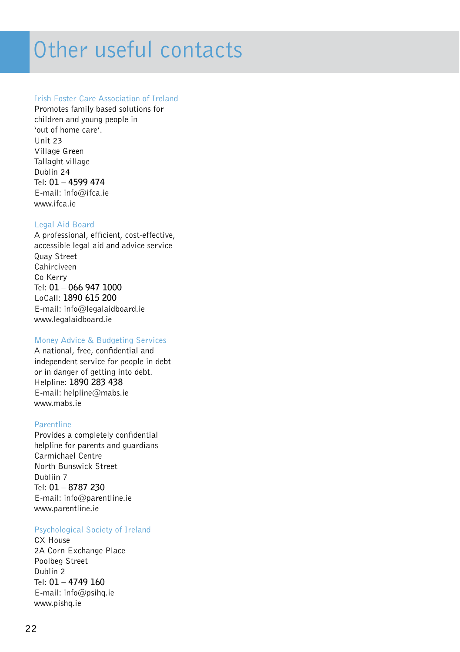## Other useful contacts

#### Irish Foster Care Association of Ireland

Promotes family based solutions for children and young people in 'out of home care'. Unit 23 Village Green Tallaght village Dublin 24 Tel: **01 – 4599 474** E-mail: info@ifca.ie www.ifca.ie

#### Legal Aid Board

A professional, efficient, cost-effective, accessible legal aid and advice service Quay Street Cahirciveen Co Kerry Tel: **01 – 066 947 1000** LoCall: **1890 615 200** E-mail: info@legalaidboard.ie www.legalaidboard.ie

#### Money Advice & Budgeting Services

A national, free, confidential and independent service for people in debt or in danger of getting into debt. Helpline: **1890 283 438** E-mail: helpline@mabs.ie www.mabs.ie

#### Parentline

Provides a completely confidential helpline for parents and guardians Carmichael Centre North Bunswick Street Dubliin 7 Tel: **01 – 8787 230** E-mail: info@parentline.ie www.parentline.ie

#### Psychological Society of Ireland

CX House 2A Corn Exchange Place Poolbeg Street Dublin 2 Tel: **01 – 4749 160** E-mail: info@psihq.ie www.pishq.ie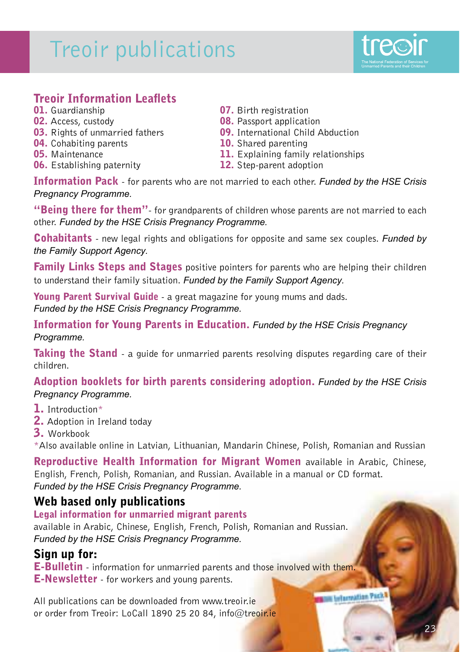## Treoir publications



## **Treoir Information Leaflets**<br>01. Guardianship

- 
- 
- 03. Rights of unmarried fathers
- **04.** Cohabiting parents **10.** Shared parenting
- 
- 06. Establishing paternity
- **01.** Guardianship **07.** Birth registration<br>**02.** Access, custody **08.** Passport application
	-
	- **08.** Passport application<br>**09.** International Child Abduction
	-
- **05.** Maintenance 11. Explaining family relationships<br>**06.** Establishing paternity 12. Step-parent adoption
	-

**Information Pack** - for parents who are not married to each other. *Funded by the HSE Crisis* **Pregnancy Programme.** 

"Beinu there for them"- for grandparents of children whose parents are not married to each other. Funded by the HSE Crisis Pregnancy Programme.

Cohabitants - new legal rights and obligations for opposite and same sex couples. *Funded by the Family Support Agency.* 

**Family Links Steps and Stages** positive pointers for parents who are helping their children to understand their family situation. Funded by the Family Support Agency.

Young Parent Survival Guide - a great magazine for young mums and dads. Funded by the HSE Crisis Pregnancy Programme.

Information for Young Parents in Education. *Funded by the HSE Crisis Pregnancy* Programme.

**Taking the Stand** - a guide for unmarried parents resolving disputes regarding care of their children.

Adoption booklets for birth parents considering adoption. *Funded by the HSE Crisis* **Pregnancy Programme.** 

- 1. Introduction\*
- 2. Adoption in Ireland today
- 3. Workbook

\*Also available online in Latvian, Lithuanian, Mandarin Chinese, Polish, Romanian and Russian

Reproductive Health Information for Migrant Women available in Arabic, Chinese, English, French, Polish, Romanian, and Russian. Available in a manual or CD format. Funded by the HSE Crisis Pregnancy Programme.

### Web based only publications

Legal information for unmarried migrant parents

available in Arabic, Chinese, English, French, Polish, Romanian and Russian. Funded by the HSE Crisis Pregnancy Programme.

### Sign up for:

E-Bulletin - information for unmarried parents and those involved with them. E-Newsletter - for workers and young parents.

All publications can be downloaded from www.treoir.ie or order from Treoir: LoCall 1890 25 20 84, info@treoir.ie **The Lelarnation Packs**